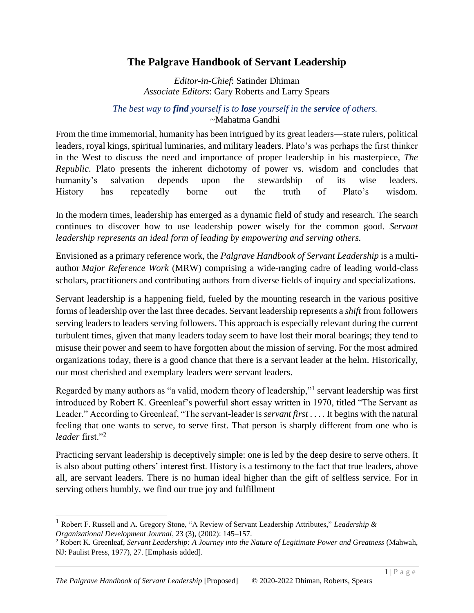## **The Palgrave Handbook of Servant Leadership**

*Editor-in-Chief*: Satinder Dhiman *Associate Editors*: Gary Roberts and Larry Spears

## *The best way to find yourself is to lose yourself in the service of others.* ~Mahatma Gandhi

From the time immemorial, humanity has been intrigued by its great leaders—state rulers, political leaders, royal kings, spiritual luminaries, and military leaders. Plato's was perhaps the first thinker in the West to discuss the need and importance of proper leadership in his masterpiece, *The Republic*. Plato presents the inherent dichotomy of power vs. wisdom and concludes that humanity's salvation depends upon the stewardship of its wise leaders. History has repeatedly borne out the truth of Plato's wisdom.

In the modern times, leadership has emerged as a dynamic field of study and research. The search continues to discover how to use leadership power wisely for the common good. *Servant leadership represents an ideal form of leading by empowering and serving others.*

Envisioned as a primary reference work, the *Palgrave Handbook of Servant Leadership* is a multiauthor *Major Reference Work* (MRW) comprising a wide-ranging cadre of leading world-class scholars, practitioners and contributing authors from diverse fields of inquiry and specializations.

Servant leadership is a happening field, fueled by the mounting research in the various positive forms of leadership over the last three decades. Servant leadership represents a *shift* from followers serving leaders to leaders serving followers. This approach is especially relevant during the current turbulent times, given that many leaders today seem to have lost their moral bearings; they tend to misuse their power and seem to have forgotten about the mission of serving. For the most admired organizations today, there is a good chance that there is a servant leader at the helm. Historically, our most cherished and exemplary leaders were servant leaders.

Regarded by many authors as "a valid, modern theory of leadership,"<sup>1</sup> servant leadership was first introduced by Robert K. Greenleaf's powerful short essay written in 1970, titled "The Servant as Leader." According to Greenleaf, "The servant-leader is *servant first* . . . . It begins with the natural feeling that one wants to serve, to serve first. That person is sharply different from one who is *leader* first."<sup>2</sup>

Practicing servant leadership is deceptively simple: one is led by the deep desire to serve others. It is also about putting others' interest first. History is a testimony to the fact that true leaders, above all, are servant leaders. There is no human ideal higher than the gift of selfless service. For in serving others humbly, we find our true joy and fulfillment

 $\overline{\phantom{a}}$ 

<sup>1</sup> Robert F. Russell and A. Gregory Stone, "A Review of Servant Leadership Attributes," *Leadership & Organizational Development Journal*, 23 (3), (2002): 145–157.

<sup>2</sup> Robert K. Greenleaf, *Servant Leadership: A Journey into the Nature of Legitimate Power and Greatness* (Mahwah, NJ: Paulist Press, 1977), 27. [Emphasis added].